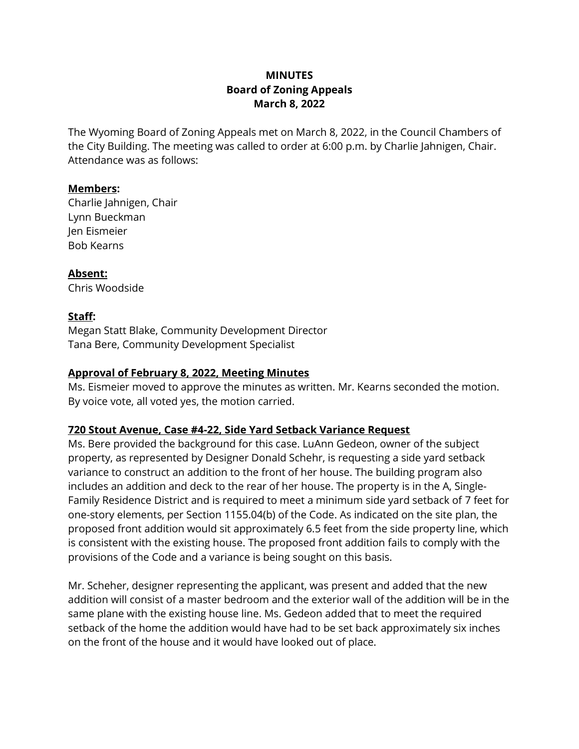# **MINUTES Board of Zoning Appeals March 8, 2022**

The Wyoming Board of Zoning Appeals met on March 8, 2022, in the Council Chambers of the City Building. The meeting was called to order at 6:00 p.m. by Charlie Jahnigen, Chair. Attendance was as follows:

### **Members:**

Charlie Jahnigen, Chair Lynn Bueckman Jen Eismeier Bob Kearns

#### **Absent:**

Chris Woodside

### **Staff:**

Megan Statt Blake, Community Development Director Tana Bere, Community Development Specialist

### **Approval of February 8, 2022, Meeting Minutes**

Ms. Eismeier moved to approve the minutes as written. Mr. Kearns seconded the motion. By voice vote, all voted yes, the motion carried.

### **720 Stout Avenue, Case #4-22, Side Yard Setback Variance Request**

Ms. Bere provided the background for this case. LuAnn Gedeon, owner of the subject property, as represented by Designer Donald Schehr, is requesting a side yard setback variance to construct an addition to the front of her house. The building program also includes an addition and deck to the rear of her house. The property is in the A, Single-Family Residence District and is required to meet a minimum side yard setback of 7 feet for one-story elements, per Section 1155.04(b) of the Code. As indicated on the site plan, the proposed front addition would sit approximately 6.5 feet from the side property line, which is consistent with the existing house. The proposed front addition fails to comply with the provisions of the Code and a variance is being sought on this basis.

Mr. Scheher, designer representing the applicant, was present and added that the new addition will consist of a master bedroom and the exterior wall of the addition will be in the same plane with the existing house line. Ms. Gedeon added that to meet the required setback of the home the addition would have had to be set back approximately six inches on the front of the house and it would have looked out of place.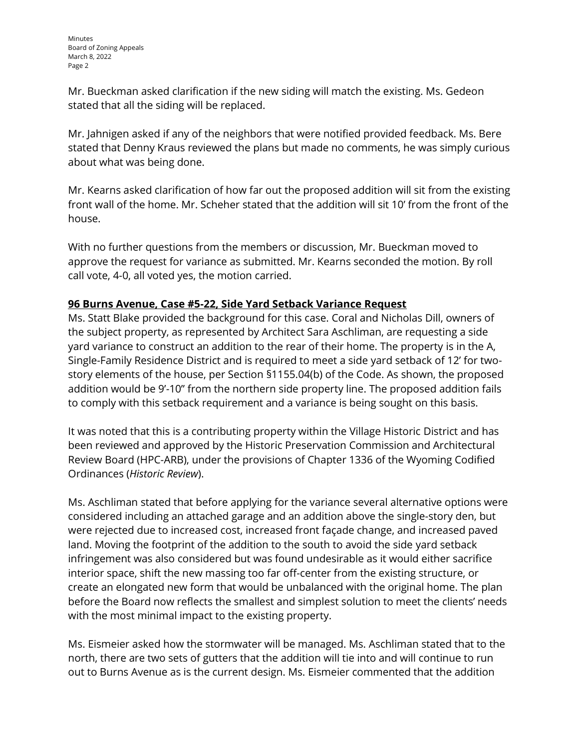Mr. Bueckman asked clarification if the new siding will match the existing. Ms. Gedeon stated that all the siding will be replaced.

Mr. Jahnigen asked if any of the neighbors that were notified provided feedback. Ms. Bere stated that Denny Kraus reviewed the plans but made no comments, he was simply curious about what was being done.

Mr. Kearns asked clarification of how far out the proposed addition will sit from the existing front wall of the home. Mr. Scheher stated that the addition will sit 10' from the front of the house.

With no further questions from the members or discussion, Mr. Bueckman moved to approve the request for variance as submitted. Mr. Kearns seconded the motion. By roll call vote, 4-0, all voted yes, the motion carried.

# **96 Burns Avenue, Case #5-22, Side Yard Setback Variance Request**

Ms. Statt Blake provided the background for this case. Coral and Nicholas Dill, owners of the subject property, as represented by Architect Sara Aschliman, are requesting a side yard variance to construct an addition to the rear of their home. The property is in the A, Single-Family Residence District and is required to meet a side yard setback of 12' for twostory elements of the house, per Section §1155.04(b) of the Code. As shown, the proposed addition would be 9'-10" from the northern side property line. The proposed addition fails to comply with this setback requirement and a variance is being sought on this basis.

It was noted that this is a contributing property within the Village Historic District and has been reviewed and approved by the Historic Preservation Commission and Architectural Review Board (HPC-ARB), under the provisions of Chapter 1336 of the Wyoming Codified Ordinances (*Historic Review*).

Ms. Aschliman stated that before applying for the variance several alternative options were considered including an attached garage and an addition above the single-story den, but were rejected due to increased cost, increased front façade change, and increased paved land. Moving the footprint of the addition to the south to avoid the side yard setback infringement was also considered but was found undesirable as it would either sacrifice interior space, shift the new massing too far off-center from the existing structure, or create an elongated new form that would be unbalanced with the original home. The plan before the Board now reflects the smallest and simplest solution to meet the clients' needs with the most minimal impact to the existing property.

Ms. Eismeier asked how the stormwater will be managed. Ms. Aschliman stated that to the north, there are two sets of gutters that the addition will tie into and will continue to run out to Burns Avenue as is the current design. Ms. Eismeier commented that the addition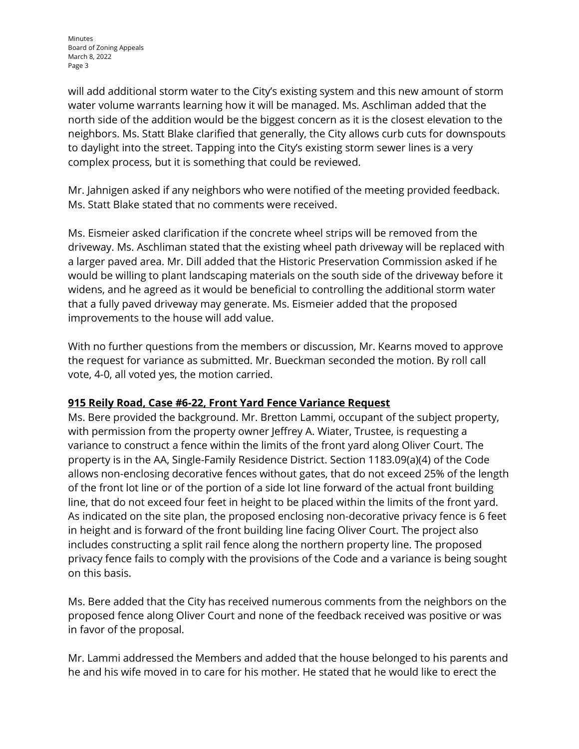will add additional storm water to the City's existing system and this new amount of storm water volume warrants learning how it will be managed. Ms. Aschliman added that the north side of the addition would be the biggest concern as it is the closest elevation to the neighbors. Ms. Statt Blake clarified that generally, the City allows curb cuts for downspouts to daylight into the street. Tapping into the City's existing storm sewer lines is a very complex process, but it is something that could be reviewed.

Mr. Jahnigen asked if any neighbors who were notified of the meeting provided feedback. Ms. Statt Blake stated that no comments were received.

Ms. Eismeier asked clarification if the concrete wheel strips will be removed from the driveway. Ms. Aschliman stated that the existing wheel path driveway will be replaced with a larger paved area. Mr. Dill added that the Historic Preservation Commission asked if he would be willing to plant landscaping materials on the south side of the driveway before it widens, and he agreed as it would be beneficial to controlling the additional storm water that a fully paved driveway may generate. Ms. Eismeier added that the proposed improvements to the house will add value.

With no further questions from the members or discussion, Mr. Kearns moved to approve the request for variance as submitted. Mr. Bueckman seconded the motion. By roll call vote, 4-0, all voted yes, the motion carried.

# **915 Reily Road, Case #6-22, Front Yard Fence Variance Request**

Ms. Bere provided the background. Mr. Bretton Lammi, occupant of the subject property, with permission from the property owner Jeffrey A. Wiater, Trustee, is requesting a variance to construct a fence within the limits of the front yard along Oliver Court. The property is in the AA, Single-Family Residence District. Section 1183.09(a)(4) of the Code allows non-enclosing decorative fences without gates, that do not exceed 25% of the length of the front lot line or of the portion of a side lot line forward of the actual front building line, that do not exceed four feet in height to be placed within the limits of the front yard. As indicated on the site plan, the proposed enclosing non-decorative privacy fence is 6 feet in height and is forward of the front building line facing Oliver Court. The project also includes constructing a split rail fence along the northern property line. The proposed privacy fence fails to comply with the provisions of the Code and a variance is being sought on this basis.

Ms. Bere added that the City has received numerous comments from the neighbors on the proposed fence along Oliver Court and none of the feedback received was positive or was in favor of the proposal.

Mr. Lammi addressed the Members and added that the house belonged to his parents and he and his wife moved in to care for his mother. He stated that he would like to erect the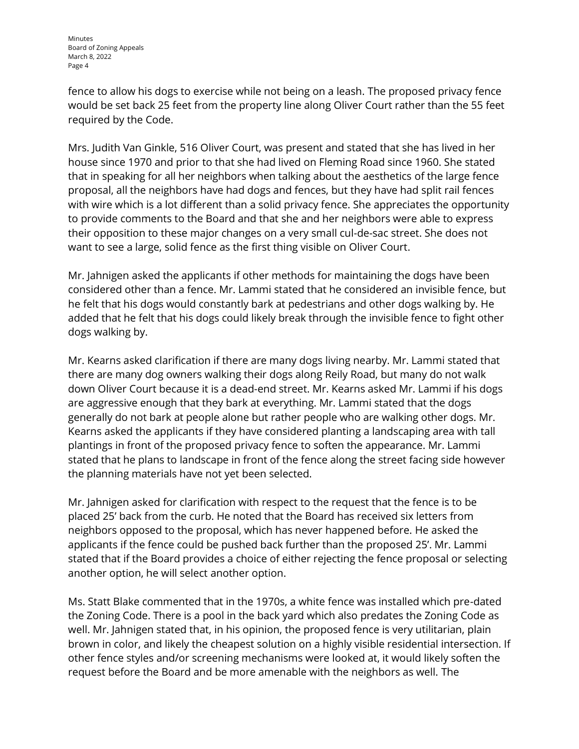Minutes Board of Zoning Appeals March 8, 2022 Page 4

fence to allow his dogs to exercise while not being on a leash. The proposed privacy fence would be set back 25 feet from the property line along Oliver Court rather than the 55 feet required by the Code.

Mrs. Judith Van Ginkle, 516 Oliver Court, was present and stated that she has lived in her house since 1970 and prior to that she had lived on Fleming Road since 1960. She stated that in speaking for all her neighbors when talking about the aesthetics of the large fence proposal, all the neighbors have had dogs and fences, but they have had split rail fences with wire which is a lot different than a solid privacy fence. She appreciates the opportunity to provide comments to the Board and that she and her neighbors were able to express their opposition to these major changes on a very small cul-de-sac street. She does not want to see a large, solid fence as the first thing visible on Oliver Court.

Mr. Jahnigen asked the applicants if other methods for maintaining the dogs have been considered other than a fence. Mr. Lammi stated that he considered an invisible fence, but he felt that his dogs would constantly bark at pedestrians and other dogs walking by. He added that he felt that his dogs could likely break through the invisible fence to fight other dogs walking by.

Mr. Kearns asked clarification if there are many dogs living nearby. Mr. Lammi stated that there are many dog owners walking their dogs along Reily Road, but many do not walk down Oliver Court because it is a dead-end street. Mr. Kearns asked Mr. Lammi if his dogs are aggressive enough that they bark at everything. Mr. Lammi stated that the dogs generally do not bark at people alone but rather people who are walking other dogs. Mr. Kearns asked the applicants if they have considered planting a landscaping area with tall plantings in front of the proposed privacy fence to soften the appearance. Mr. Lammi stated that he plans to landscape in front of the fence along the street facing side however the planning materials have not yet been selected.

Mr. Jahnigen asked for clarification with respect to the request that the fence is to be placed 25' back from the curb. He noted that the Board has received six letters from neighbors opposed to the proposal, which has never happened before. He asked the applicants if the fence could be pushed back further than the proposed 25'. Mr. Lammi stated that if the Board provides a choice of either rejecting the fence proposal or selecting another option, he will select another option.

Ms. Statt Blake commented that in the 1970s, a white fence was installed which pre-dated the Zoning Code. There is a pool in the back yard which also predates the Zoning Code as well. Mr. Jahnigen stated that, in his opinion, the proposed fence is very utilitarian, plain brown in color, and likely the cheapest solution on a highly visible residential intersection. If other fence styles and/or screening mechanisms were looked at, it would likely soften the request before the Board and be more amenable with the neighbors as well. The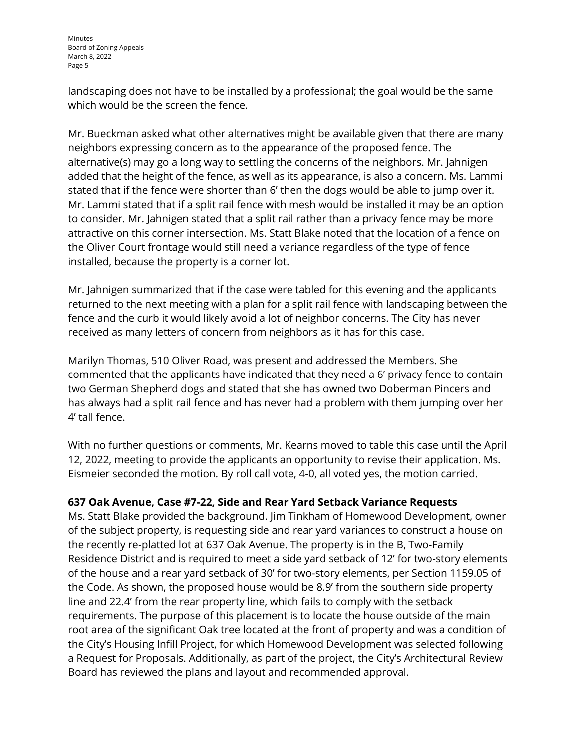landscaping does not have to be installed by a professional; the goal would be the same which would be the screen the fence.

Mr. Bueckman asked what other alternatives might be available given that there are many neighbors expressing concern as to the appearance of the proposed fence. The alternative(s) may go a long way to settling the concerns of the neighbors. Mr. Jahnigen added that the height of the fence, as well as its appearance, is also a concern. Ms. Lammi stated that if the fence were shorter than 6' then the dogs would be able to jump over it. Mr. Lammi stated that if a split rail fence with mesh would be installed it may be an option to consider. Mr. Jahnigen stated that a split rail rather than a privacy fence may be more attractive on this corner intersection. Ms. Statt Blake noted that the location of a fence on the Oliver Court frontage would still need a variance regardless of the type of fence installed, because the property is a corner lot.

Mr. Jahnigen summarized that if the case were tabled for this evening and the applicants returned to the next meeting with a plan for a split rail fence with landscaping between the fence and the curb it would likely avoid a lot of neighbor concerns. The City has never received as many letters of concern from neighbors as it has for this case.

Marilyn Thomas, 510 Oliver Road, was present and addressed the Members. She commented that the applicants have indicated that they need a 6' privacy fence to contain two German Shepherd dogs and stated that she has owned two Doberman Pincers and has always had a split rail fence and has never had a problem with them jumping over her 4' tall fence.

With no further questions or comments, Mr. Kearns moved to table this case until the April 12, 2022, meeting to provide the applicants an opportunity to revise their application. Ms. Eismeier seconded the motion. By roll call vote, 4-0, all voted yes, the motion carried.

# **637 Oak Avenue, Case #7-22, Side and Rear Yard Setback Variance Requests**

Ms. Statt Blake provided the background. Jim Tinkham of Homewood Development, owner of the subject property, is requesting side and rear yard variances to construct a house on the recently re-platted lot at 637 Oak Avenue. The property is in the B, Two-Family Residence District and is required to meet a side yard setback of 12' for two-story elements of the house and a rear yard setback of 30' for two-story elements, per Section 1159.05 of the Code. As shown, the proposed house would be 8.9' from the southern side property line and 22.4' from the rear property line, which fails to comply with the setback requirements. The purpose of this placement is to locate the house outside of the main root area of the significant Oak tree located at the front of property and was a condition of the City's Housing Infill Project, for which Homewood Development was selected following a Request for Proposals. Additionally, as part of the project, the City's Architectural Review Board has reviewed the plans and layout and recommended approval.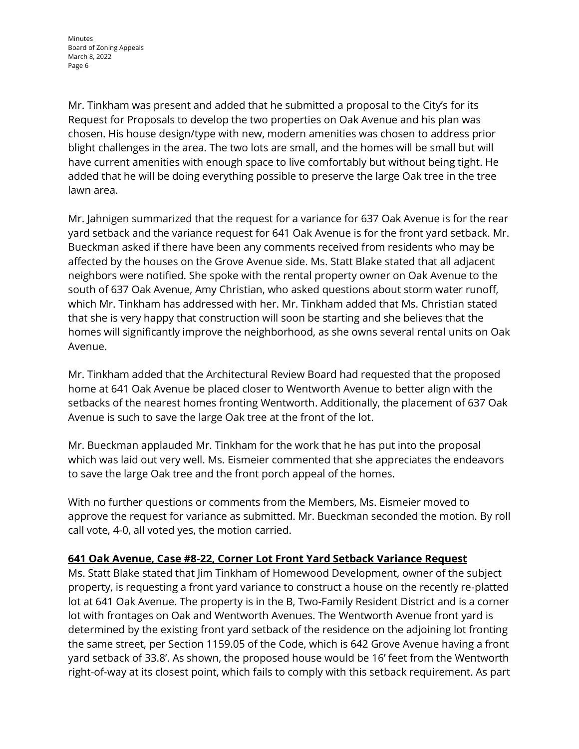Mr. Tinkham was present and added that he submitted a proposal to the City's for its Request for Proposals to develop the two properties on Oak Avenue and his plan was chosen. His house design/type with new, modern amenities was chosen to address prior blight challenges in the area. The two lots are small, and the homes will be small but will have current amenities with enough space to live comfortably but without being tight. He added that he will be doing everything possible to preserve the large Oak tree in the tree lawn area.

Mr. Jahnigen summarized that the request for a variance for 637 Oak Avenue is for the rear yard setback and the variance request for 641 Oak Avenue is for the front yard setback. Mr. Bueckman asked if there have been any comments received from residents who may be affected by the houses on the Grove Avenue side. Ms. Statt Blake stated that all adjacent neighbors were notified. She spoke with the rental property owner on Oak Avenue to the south of 637 Oak Avenue, Amy Christian, who asked questions about storm water runoff, which Mr. Tinkham has addressed with her. Mr. Tinkham added that Ms. Christian stated that she is very happy that construction will soon be starting and she believes that the homes will significantly improve the neighborhood, as she owns several rental units on Oak Avenue.

Mr. Tinkham added that the Architectural Review Board had requested that the proposed home at 641 Oak Avenue be placed closer to Wentworth Avenue to better align with the setbacks of the nearest homes fronting Wentworth. Additionally, the placement of 637 Oak Avenue is such to save the large Oak tree at the front of the lot.

Mr. Bueckman applauded Mr. Tinkham for the work that he has put into the proposal which was laid out very well. Ms. Eismeier commented that she appreciates the endeavors to save the large Oak tree and the front porch appeal of the homes.

With no further questions or comments from the Members, Ms. Eismeier moved to approve the request for variance as submitted. Mr. Bueckman seconded the motion. By roll call vote, 4-0, all voted yes, the motion carried.

### **641 Oak Avenue, Case #8-22, Corner Lot Front Yard Setback Variance Request**

Ms. Statt Blake stated that Jim Tinkham of Homewood Development, owner of the subject property, is requesting a front yard variance to construct a house on the recently re-platted lot at 641 Oak Avenue. The property is in the B, Two-Family Resident District and is a corner lot with frontages on Oak and Wentworth Avenues. The Wentworth Avenue front yard is determined by the existing front yard setback of the residence on the adjoining lot fronting the same street, per Section [1159.05](https://codelibrary.amlegal.com/codes/wyoming/latest/wyoming_oh/0-0-0-20973) of the Code, which is 642 Grove Avenue having a front yard setback of 33.8'. As shown, the proposed house would be 16' feet from the Wentworth right-of-way at its closest point, which fails to comply with this setback requirement. As part